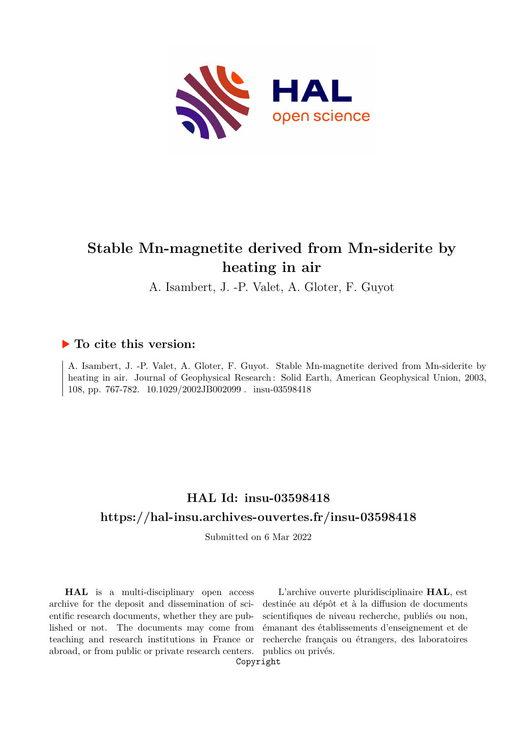

# **Stable Mn-magnetite derived from Mn-siderite by heating in air**

A. Isambert, J. -P. Valet, A. Gloter, F. Guyot

### **To cite this version:**

A. Isambert, J. -P. Valet, A. Gloter, F. Guyot. Stable Mn-magnetite derived from Mn-siderite by heating in air. Journal of Geophysical Research: Solid Earth, American Geophysical Union, 2003, 108, pp. 767-782. 10.1029/2002JB002099. insu-03598418

## **HAL Id: insu-03598418 <https://hal-insu.archives-ouvertes.fr/insu-03598418>**

Submitted on 6 Mar 2022

**HAL** is a multi-disciplinary open access archive for the deposit and dissemination of scientific research documents, whether they are published or not. The documents may come from teaching and research institutions in France or abroad, or from public or private research centers.

L'archive ouverte pluridisciplinaire **HAL**, est destinée au dépôt et à la diffusion de documents scientifiques de niveau recherche, publiés ou non, émanant des établissements d'enseignement et de recherche français ou étrangers, des laboratoires publics ou privés.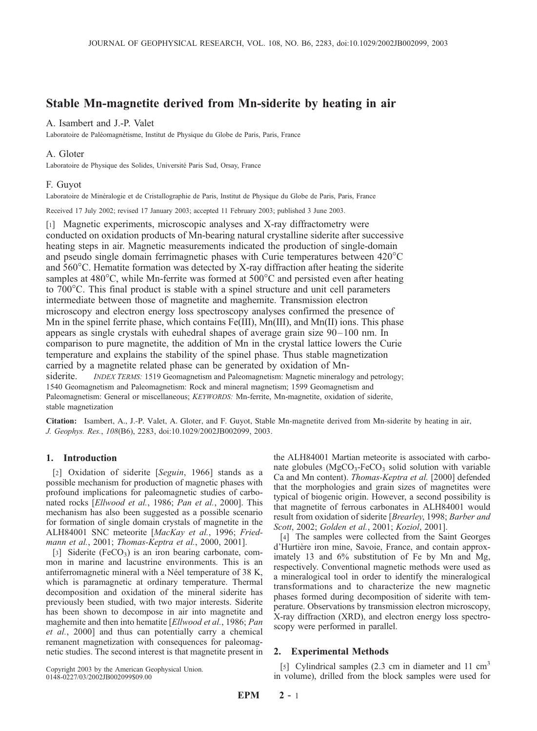### Stable Mn-magnetite derived from Mn-siderite by heating in air

#### A. Isambert and J.-P. Valet

Laboratoire de Paléomagnétisme, Institut de Physique du Globe de Paris, Paris, France

#### A. Gloter

Laboratoire de Physique des Solides, Université Paris Sud, Orsay, France

#### F. Guyot

Laboratoire de Minéralogie et de Cristallographie de Paris, Institut de Physique du Globe de Paris, Paris, France

Received 17 July 2002; revised 17 January 2003; accepted 11 February 2003; published 3 June 2003.

[1] Magnetic experiments, microscopic analyses and X-ray diffractometry were conducted on oxidation products of Mn-bearing natural crystalline siderite after successive heating steps in air. Magnetic measurements indicated the production of single-domain and pseudo single domain ferrimagnetic phases with Curie temperatures between  $420^{\circ}$ C and  $560^{\circ}$ C. Hematite formation was detected by X-ray diffraction after heating the siderite samples at  $480^{\circ}$ C, while Mn-ferrite was formed at  $500^{\circ}$ C and persisted even after heating to  $700^{\circ}$ C. This final product is stable with a spinel structure and unit cell parameters intermediate between those of magnetite and maghemite. Transmission electron microscopy and electron energy loss spectroscopy analyses confirmed the presence of Mn in the spinel ferrite phase, which contains Fe(III), Mn(III), and Mn(II) ions. This phase appears as single crystals with euhedral shapes of average grain size 90–100 nm. In comparison to pure magnetite, the addition of Mn in the crystal lattice lowers the Curie temperature and explains the stability of the spinel phase. Thus stable magnetization carried by a magnetite related phase can be generated by oxidation of Mnsiderite. INDEX TERMS: 1519 Geomagnetism and Paleomagnetism: Magnetic mineralogy and petrology; 1540 Geomagnetism and Paleomagnetism: Rock and mineral magnetism; 1599 Geomagnetism and Paleomagnetism: General or miscellaneous; KEYWORDS: Mn-ferrite, Mn-magnetite, oxidation of siderite, stable magnetization

Citation: Isambert, A., J.-P. Valet, A. Gloter, and F. Guyot, Stable Mn-magnetite derived from Mn-siderite by heating in air, J. Geophys. Res., 108(B6), 2283, doi:10.1029/2002JB002099, 2003.

#### 1. Introduction

[2] Oxidation of siderite [Seguin, 1966] stands as a possible mechanism for production of magnetic phases with profound implications for paleomagnetic studies of carbonated rocks [Ellwood et al., 1986; Pan et al., 2000]. This mechanism has also been suggested as a possible scenario for formation of single domain crystals of magnetite in the ALH84001 SNC meteorite [MacKay et al., 1996; Friedmann et al., 2001; Thomas-Keptra et al., 2000, 2001].

[3] Siderite (FeCO<sub>3</sub>) is an iron bearing carbonate, common in marine and lacustrine environments. This is an antiferromagnetic mineral with a Néel temperature of 38 K, which is paramagnetic at ordinary temperature. Thermal decomposition and oxidation of the mineral siderite has previously been studied, with two major interests. Siderite has been shown to decompose in air into magnetite and maghemite and then into hematite [Ellwood et al., 1986; Pan et al., 2000] and thus can potentially carry a chemical remanent magnetization with consequences for paleomagnetic studies. The second interest is that magnetite present in

Copyright 2003 by the American Geophysical Union. 0148-0227/03/2002JB002099\$09.00

the ALH84001 Martian meteorite is associated with carbonate globules  $(MgCO<sub>3</sub>-FeCO<sub>3</sub>$  solid solution with variable Ca and Mn content). Thomas-Keptra et al. [2000] defended that the morphologies and grain sizes of magnetites were typical of biogenic origin. However, a second possibility is that magnetite of ferrous carbonates in ALH84001 would result from oxidation of siderite [Brearley, 1998; Barber and Scott, 2002; Golden et al., 2001; Koziol, 2001].

[4] The samples were collected from the Saint Georges d'Hurtière iron mine, Savoie, France, and contain approximately 13 and 6% substitution of Fe by Mn and Mg, respectively. Conventional magnetic methods were used as a mineralogical tool in order to identify the mineralogical transformations and to characterize the new magnetic phases formed during decomposition of siderite with temperature. Observations by transmission electron microscopy, X-ray diffraction (XRD), and electron energy loss spectroscopy were performed in parallel.

#### 2. Experimental Methods

[5] Cylindrical samples  $(2.3 \text{ cm})$  in diameter and 11 cm<sup>3</sup> in volume), drilled from the block samples were used for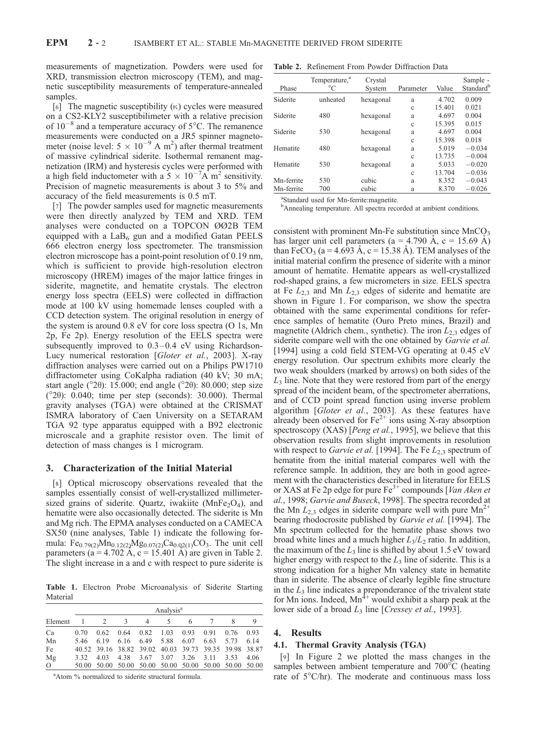measurements of magnetization. Powders were used for XRD, transmission electron microscopy (TEM), and magnetic susceptibility measurements of temperature-annealed samples.

[6] The magnetic susceptibility  $(\kappa)$  cycles were measured on a CS2-KLY2 susceptibilimeter with a relative precision of  $10^{-8}$  and a temperature accuracy of  $5^{\circ}$ C. The remanence measurements were conducted on a JR5 spinner magnetometer (noise level:  $5 \times 10^{-9}$  A m<sup>2</sup>) after thermal treatment of massive cylindrical siderite. Isothermal remanent magnetization (IRM) and hysteresis cycles were performed with a high field inductometer with a  $5 \times 10^{-7}$ A m<sup>2</sup> sensitivity. Precision of magnetic measurements is about 3 to 5% and accuracy of the field measurements is 0.5 mT.

[7] The powder samples used for magnetic measurements were then directly analyzed by TEM and XRD. TEM analyses were conducted on a TOPCON ØØ2B TEM equipped with a  $LaB_6$  gun and a modified Gatan PEELS 666 electron energy loss spectrometer. The transmission electron microscope has a point-point resolution of 0.19 nm, which is sufficient to provide high-resolution electron microscopy (HREM) images of the major lattice fringes in siderite, magnetite, and hematite crystals. The electron energy loss spectra (EELS) were collected in diffraction mode at 100 kV using homemade lenses coupled with a CCD detection system. The original resolution in energy of the system is around 0.8 eV for core loss spectra (O 1s, Mn 2p, Fe 2p). Energy resolution of the EELS spectra were subsequently improved to  $0.3-0.4$  eV using Richardson-Lucy numerical restoration [Gloter et al., 2003]. X-ray diffraction analyses were carried out on a Philips PW1710 diffractometer using CoKalpha radiation (40 kV; 30 mA; start angle ( $^{\circ}2\theta$ ): 15.000; end angle ( $^{\circ}2\theta$ ): 80.000; step size ( $^{\circ}2\theta$ ): 0.040; time per step (seconds): 30.000). Thermal gravity analyses (TGA) were obtained at the CRISMAT ISMRA laboratory of Caen University on a SETARAM TGA 92 type apparatus equipped with a B92 electronic microscale and a graphite resistor oven. The limit of detection of mass changes is 1 microgram.

#### 3. Characterization of the Initial Material

[8] Optical microscopy observations revealed that the samples essentially consist of well-crystallized millimetersized grains of siderite. Quartz, iwakiite ( $MnFe<sub>2</sub>O<sub>4</sub>$ ), and hematite were also occasionally detected. The siderite is Mn and Mg rich. The EPMA analyses conducted on a CAMECA SX50 (nine analyses, Table 1) indicate the following formula:  $Fe_{0.79(2)}Mn_{0.12(2)}Mg_{0.07(2)}Ca_{0.02(1)}CO_3$ . The unit cell parameters (a = 4.702 Å, c = 15.401 Å) are given in Table 2. The slight increase in a and c with respect to pure siderite is

Table 1. Electron Probe Microanalysis of Siderite Starting Material

|          |      | Analysis <sup>a</sup> |               |             |      |                                                       |      |      |      |  |
|----------|------|-----------------------|---------------|-------------|------|-------------------------------------------------------|------|------|------|--|
| Element  |      |                       | $\mathcal{R}$ | 4           | 5    |                                                       |      |      | 9    |  |
| Ca       | 0.70 | 0.62                  | 0.64          | $0.82$ 1.03 |      | 0.93                                                  | 0.91 | 0.76 | 0.93 |  |
| Mn       | 546  | 6.19                  | 6.16          | 6.49        | 5.88 | 6.07                                                  | 6.63 | 5.73 | 6.14 |  |
| Fe       |      |                       |               |             |      | 40.52 39.16 38.82 39.02 40.03 39.73 39.35 39.98 38.87 |      |      |      |  |
| Mg       | 3.32 | 4.03                  | 4.38          | 3.67        | 3.07 | 3.26 3.11                                             |      | 3.53 | 4.06 |  |
| $\Omega$ |      |                       |               |             |      | 50.00 50.00 50.00 50.00 50.00 50.00 50.00 50.00 50.00 |      |      |      |  |

<sup>a</sup>Atom % normalized to siderite structural formula.

Table 2. Refinement From Powder Diffraction Data

| Phase      | Temperature, <sup>a</sup><br>$^{\circ}C$ | Crystal<br>System | Parameter | Value  | Sample -<br>Standard <sup>b</sup> |
|------------|------------------------------------------|-------------------|-----------|--------|-----------------------------------|
| Siderite   | unheated                                 | hexagonal         | a         | 4.702  | 0.009                             |
|            |                                          |                   | Ċ         | 15.401 | 0.021                             |
| Siderite   | 480                                      | hexagonal         | a         | 4.697  | 0.004                             |
|            |                                          |                   | Ċ         | 15.395 | 0.015                             |
| Siderite   | 530                                      | hexagonal         | a         | 4.697  | 0.004                             |
|            |                                          |                   | Ċ         | 15.398 | 0.018                             |
| Hematite   | 480                                      | hexagonal         | a         | 5.019  | $-0.034$                          |
|            |                                          |                   | Ċ         | 13.735 | $-0.004$                          |
| Hematite   | 530                                      | hexagonal         | a         | 5.033  | $-0.020$                          |
|            |                                          |                   | c         | 13.704 | $-0.036$                          |
| Mn-ferrite | 530                                      | cubic             | a         | 8.352  | $-0.043$                          |
| Mn-ferrite | 700                                      | cubic             | a         | 8.370  | $-0.026$                          |

a Standard used for Mn-ferrite:magnetite.

<sup>b</sup>Annealing temperature. All spectra recorded at ambient conditions.

consistent with prominent Mn-Fe substitution since  $MnCO<sub>3</sub>$ has larger unit cell parameters (a = 4.790 Å, c = 15.69 Å) than FeCO<sub>3</sub> (a = 4.693 A, c = 15.38 A). TEM analyses of the initial material confirm the presence of siderite with a minor amount of hematite. Hematite appears as well-crystallized rod-shaped grains, a few micrometers in size. EELS spectra at Fe  $L_{2,3}$  and Mn  $L_{2,3}$  edges of siderite and hematite are shown in Figure 1. For comparison, we show the spectra obtained with the same experimental conditions for reference samples of hematite (Ouro Preto mines, Brazil) and magnetite (Aldrich chem., synthetic). The iron  $L_{2,3}$  edges of siderite compare well with the one obtained by *Garvie et al.* [1994] using a cold field STEM-VG operating at 0.45 eV energy resolution. Our spectrum exhibits more clearly the two weak shoulders (marked by arrows) on both sides of the  $L<sub>3</sub>$  line. Note that they were restored from part of the energy spread of the incident beam, of the spectrometer aberrations, and of CCD point spread function using inverse problem algorithm [Gloter et al., 2003]. As these features have already been observed for  $Fe^{2+}$  ions using X-ray absorption spectroscopy (XAS) [Peng et al., 1995], we believe that this observation results from slight improvements in resolution with respect to *Garvie et al.* [1994]. The Fe  $L_2$ <sub>3</sub> spectrum of hematite from the initial material compares well with the reference sample. In addition, they are both in good agreement with the characteristics described in literature for EELS or XAS at Fe 2p edge for pure  $Fe^{3+}$  compounds [*Van Aken et*] al., 1998; Garvie and Buseck, 1998]. The spectra recorded at the Mn  $L_{2,3}$  edges in siderite compare well with pure Mn<sup>2+</sup> bearing rhodocrosite published by Garvie et al. [1994]. The Mn spectrum collected for the hematite phase shows two broad white lines and a much higher  $L_3/L_2$  ratio. In addition, the maximum of the  $L_3$  line is shifted by about 1.5 eV toward higher energy with respect to the  $L_3$  line of siderite. This is a strong indication for a higher Mn valency state in hematite than in siderite. The absence of clearly legible fine structure in the  $L_3$  line indicates a preponderance of the trivalent state for Mn ions. Indeed,  $Mn^{\frac{3}{4}+}$  would exhibit a sharp peak at the lower side of a broad  $L_3$  line [Cressey et al., 1993].

#### 4. Results

#### 4.1. Thermal Gravity Analysis (TGA)

[9] In Figure 2 we plotted the mass changes in the samples between ambient temperature and  $700^{\circ}$ C (heating rate of  $5^{\circ}$ C/hr). The moderate and continuous mass loss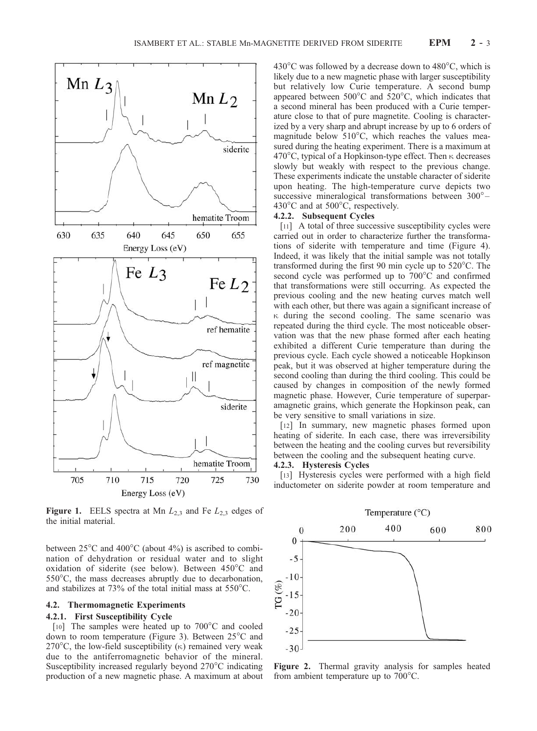

**Figure 1.** EELS spectra at Mn  $L_{2,3}$  and Fe  $L_{2,3}$  edges of the initial material.

between  $25^{\circ}$ C and  $400^{\circ}$ C (about  $4\%$ ) is ascribed to combination of dehydration or residual water and to slight oxidation of siderite (see below). Between 450°C and  $550^{\circ}$ C, the mass decreases abruptly due to decarbonation, and stabilizes at 73% of the total initial mass at  $550^{\circ}$ C.

#### 4.2. Thermomagnetic Experiments

#### 4.2.1. First Susceptibility Cycle

[10] The samples were heated up to  $700^{\circ}$ C and cooled down to room temperature (Figure 3). Between  $25^{\circ}$ C and 270 $\degree$ C, the low-field susceptibility ( $\kappa$ ) remained very weak due to the antiferromagnetic behavior of the mineral. Susceptibility increased regularly beyond  $270^{\circ}$ C indicating production of a new magnetic phase. A maximum at about  $430^{\circ}$ C was followed by a decrease down to  $480^{\circ}$ C, which is likely due to a new magnetic phase with larger susceptibility but relatively low Curie temperature. A second bump appeared between  $500^{\circ}$ C and  $520^{\circ}$ C, which indicates that a second mineral has been produced with a Curie temperature close to that of pure magnetite. Cooling is characterized by a very sharp and abrupt increase by up to 6 orders of magnitude below  $510^{\circ}$ C, which reaches the values measured during the heating experiment. There is a maximum at  $470^{\circ}$ C, typical of a Hopkinson-type effect. Then  $\kappa$  decreases slowly but weakly with respect to the previous change. These experiments indicate the unstable character of siderite upon heating. The high-temperature curve depicts two successive mineralogical transformations between 300°– 430 $^{\circ}$ C and at 500 $^{\circ}$ C, respectively.

#### 4.2.2. Subsequent Cycles

[11] A total of three successive susceptibility cycles were carried out in order to characterize further the transformations of siderite with temperature and time (Figure 4). Indeed, it was likely that the initial sample was not totally transformed during the first 90 min cycle up to  $520^{\circ}$ C. The second cycle was performed up to 700°C and confirmed that transformations were still occurring. As expected the previous cooling and the new heating curves match well with each other, but there was again a significant increase of  $\kappa$  during the second cooling. The same scenario was repeated during the third cycle. The most noticeable observation was that the new phase formed after each heating exhibited a different Curie temperature than during the previous cycle. Each cycle showed a noticeable Hopkinson peak, but it was observed at higher temperature during the second cooling than during the third cooling. This could be caused by changes in composition of the newly formed magnetic phase. However, Curie temperature of superparamagnetic grains, which generate the Hopkinson peak, can be very sensitive to small variations in size.

[12] In summary, new magnetic phases formed upon heating of siderite. In each case, there was irreversibility between the heating and the cooling curves but reversibility between the cooling and the subsequent heating curve.

#### 4.2.3. Hysteresis Cycles

[13] Hysteresis cycles were performed with a high field inductometer on siderite powder at room temperature and



Figure 2. Thermal gravity analysis for samples heated from ambient temperature up to  $700^{\circ}$ C.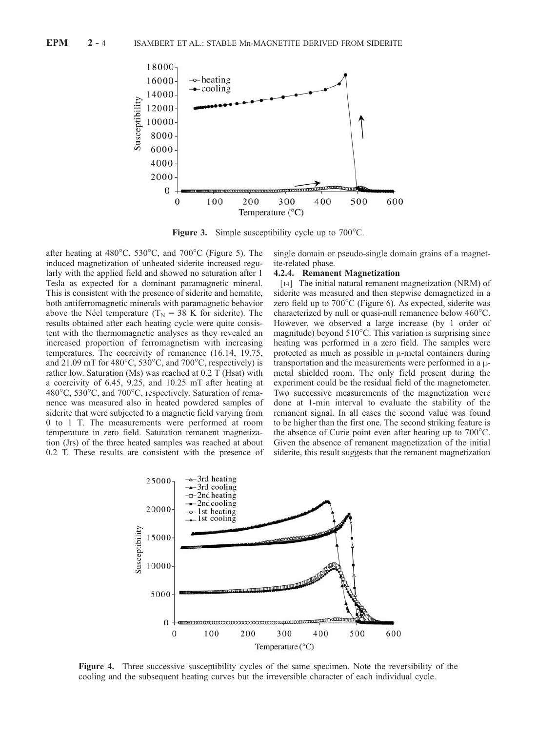

**Figure 3.** Simple susceptibility cycle up to  $700^{\circ}$ C.

after heating at  $480^{\circ}$ C,  $530^{\circ}$ C, and  $700^{\circ}$ C (Figure 5). The induced magnetization of unheated siderite increased regularly with the applied field and showed no saturation after 1 Tesla as expected for a dominant paramagnetic mineral. This is consistent with the presence of siderite and hematite, both antiferromagnetic minerals with paramagnetic behavior above the Néel temperature ( $T_N = 38$  K for siderite). The results obtained after each heating cycle were quite consistent with the thermomagnetic analyses as they revealed an increased proportion of ferromagnetism with increasing temperatures. The coercivity of remanence (16.14, 19.75, and 21.09 mT for  $480^{\circ}$ C,  $530^{\circ}$ C, and  $700^{\circ}$ C, respectively) is rather low. Saturation (Ms) was reached at 0.2 T (Hsat) with a coercivity of 6.45, 9.25, and 10.25 mT after heating at 480 $^{\circ}$ C, 530 $^{\circ}$ C, and 700 $^{\circ}$ C, respectively. Saturation of remanence was measured also in heated powdered samples of siderite that were subjected to a magnetic field varying from 0 to 1 T. The measurements were performed at room temperature in zero field. Saturation remanent magnetization (Jrs) of the three heated samples was reached at about 0.2 T. These results are consistent with the presence of single domain or pseudo-single domain grains of a magnetite-related phase.

#### 4.2.4. Remanent Magnetization

[14] The initial natural remanent magnetization (NRM) of siderite was measured and then stepwise demagnetized in a zero field up to  $700^{\circ}$ C (Figure 6). As expected, siderite was characterized by null or quasi-null remanence below  $460^{\circ}$ C. However, we observed a large increase (by 1 order of magnitude) beyond  $510^{\circ}$ C. This variation is surprising since heating was performed in a zero field. The samples were protected as much as possible in  $\mu$ -metal containers during transportation and the measurements were performed in a  $\mu$ metal shielded room. The only field present during the experiment could be the residual field of the magnetometer. Two successive measurements of the magnetization were done at 1-min interval to evaluate the stability of the remanent signal. In all cases the second value was found to be higher than the first one. The second striking feature is the absence of Curie point even after heating up to  $700^{\circ}$ C. Given the absence of remanent magnetization of the initial siderite, this result suggests that the remanent magnetization



Figure 4. Three successive susceptibility cycles of the same specimen. Note the reversibility of the cooling and the subsequent heating curves but the irreversible character of each individual cycle.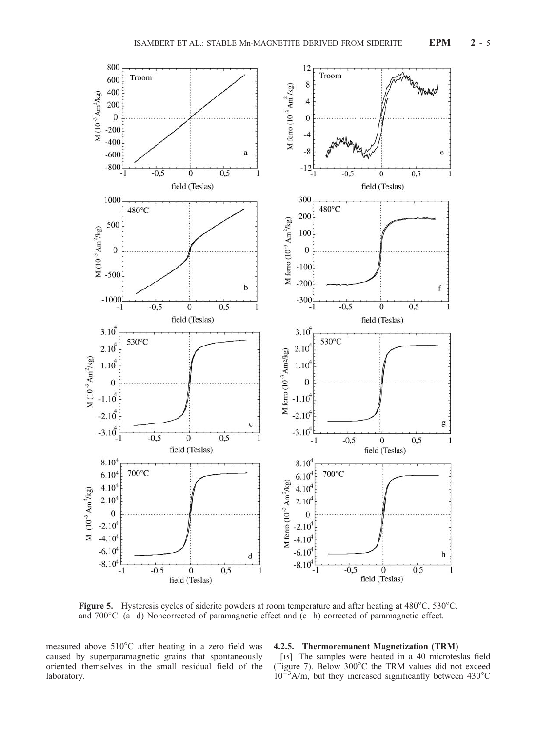

Figure 5. Hysteresis cycles of siderite powders at room temperature and after heating at  $480^{\circ}$ C,  $530^{\circ}$ C, and 700 $^{\circ}$ C. (a-d) Noncorrected of paramagnetic effect and (e-h) corrected of paramagnetic effect.

measured above 510°C after heating in a zero field was caused by superparamagnetic grains that spontaneously oriented themselves in the small residual field of the laboratory.

#### 4.2.5. Thermoremanent Magnetization (TRM)

[15] The samples were heated in a 40 microteslas field (Figure 7). Below  $300^{\circ}$ C the TRM values did not exceed  $10^{-3}$ A/m, but they increased significantly between 430°C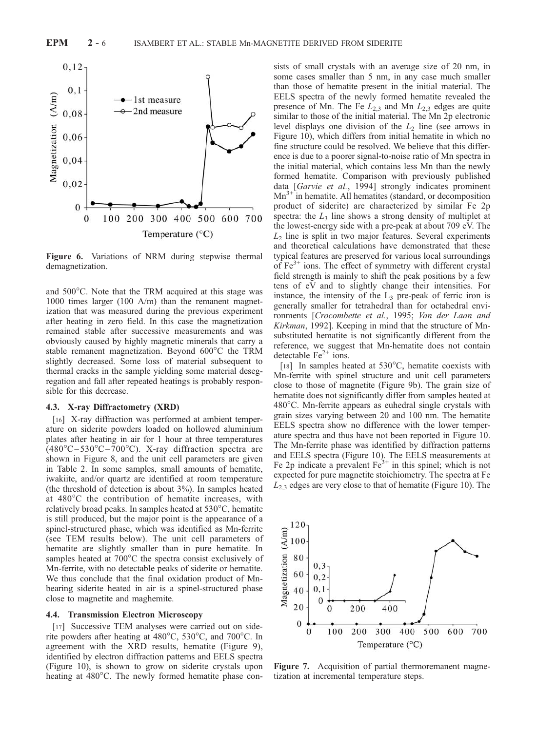

Figure 6. Variations of NRM during stepwise thermal demagnetization.

and  $500^{\circ}$ C. Note that the TRM acquired at this stage was 1000 times larger (100 A/m) than the remanent magnetization that was measured during the previous experiment after heating in zero field. In this case the magnetization remained stable after successive measurements and was obviously caused by highly magnetic minerals that carry a stable remanent magnetization. Beyond 600°C the TRM slightly decreased. Some loss of material subsequent to thermal cracks in the sample yielding some material desegregation and fall after repeated heatings is probably responsible for this decrease.

#### 4.3. X-ray Diffractometry (XRD)

[16] X-ray diffraction was performed at ambient temperature on siderite powders loaded on hollowed aluminium plates after heating in air for 1 hour at three temperatures  $(480^{\circ}C - 530^{\circ}C - 700^{\circ}C)$ . X-ray diffraction spectra are shown in Figure 8, and the unit cell parameters are given in Table 2. In some samples, small amounts of hematite, iwakiite, and/or quartz are identified at room temperature (the threshold of detection is about 3%). In samples heated at 480°C the contribution of hematite increases, with relatively broad peaks. In samples heated at  $530^{\circ}$ C, hematite is still produced, but the major point is the appearance of a spinel-structured phase, which was identified as Mn-ferrite (see TEM results below). The unit cell parameters of hematite are slightly smaller than in pure hematite. In samples heated at 700°C the spectra consist exclusively of Mn-ferrite, with no detectable peaks of siderite or hematite. We thus conclude that the final oxidation product of Mnbearing siderite heated in air is a spinel-structured phase close to magnetite and maghemite.

#### 4.4. Transmission Electron Microscopy

[17] Successive TEM analyses were carried out on siderite powders after heating at  $480^{\circ}$ C,  $530^{\circ}$ C, and  $700^{\circ}$ C. In agreement with the XRD results, hematite (Figure 9), identified by electron diffraction patterns and EELS spectra (Figure 10), is shown to grow on siderite crystals upon heating at  $480^{\circ}$ C. The newly formed hematite phase con-

sists of small crystals with an average size of 20 nm, in some cases smaller than 5 nm, in any case much smaller than those of hematite present in the initial material. The EELS spectra of the newly formed hematite revealed the presence of Mn. The Fe  $L_{2,3}$  and Mn  $L_{2,3}$  edges are quite similar to those of the initial material. The Mn 2p electronic level displays one division of the  $L_2$  line (see arrows in Figure 10), which differs from initial hematite in which no fine structure could be resolved. We believe that this difference is due to a poorer signal-to-noise ratio of Mn spectra in the initial material, which contains less Mn than the newly formed hematite. Comparison with previously published data [Garvie et al., 1994] strongly indicates prominent  $Mn^{3+}$  in hematite. All hematites (standard, or decomposition product of siderite) are characterized by similar Fe 2p spectra: the  $L_3$  line shows a strong density of multiplet at the lowest-energy side with a pre-peak at about 709 eV. The  $L<sub>2</sub>$  line is split in two major features. Several experiments and theoretical calculations have demonstrated that these typical features are preserved for various local surroundings of  $Fe<sup>3+</sup>$  ions. The effect of symmetry with different crystal field strength is mainly to shift the peak positions by a few tens of eV and to slightly change their intensities. For instance, the intensity of the  $L_3$  pre-peak of ferric iron is generally smaller for tetrahedral than for octahedral environments [Crocombette et al., 1995; Van der Laan and Kirkman, 1992]. Keeping in mind that the structure of Mnsubstituted hematite is not significantly different from the reference, we suggest that Mn-hematite does not contain detectable  $Fe<sup>2+</sup> ions.$ 

[18] In samples heated at  $530^{\circ}$ C, hematite coexists with Mn-ferrite with spinel structure and unit cell parameters close to those of magnetite (Figure 9b). The grain size of hematite does not significantly differ from samples heated at  $480^{\circ}$ C. Mn-ferrite appears as euhedral single crystals with grain sizes varying between 20 and 100 nm. The hematite EELS spectra show no difference with the lower temperature spectra and thus have not been reported in Figure 10. The Mn-ferrite phase was identified by diffraction patterns and EELS spectra (Figure 10). The EELS measurements at Fe 2p indicate a prevalent  $Fe<sup>3+</sup>$  in this spinel; which is not expected for pure magnetite stoichiometry. The spectra at Fe  $L_{2,3}$  edges are very close to that of hematite (Figure 10). The



Figure 7. Acquisition of partial thermoremanent magnetization at incremental temperature steps.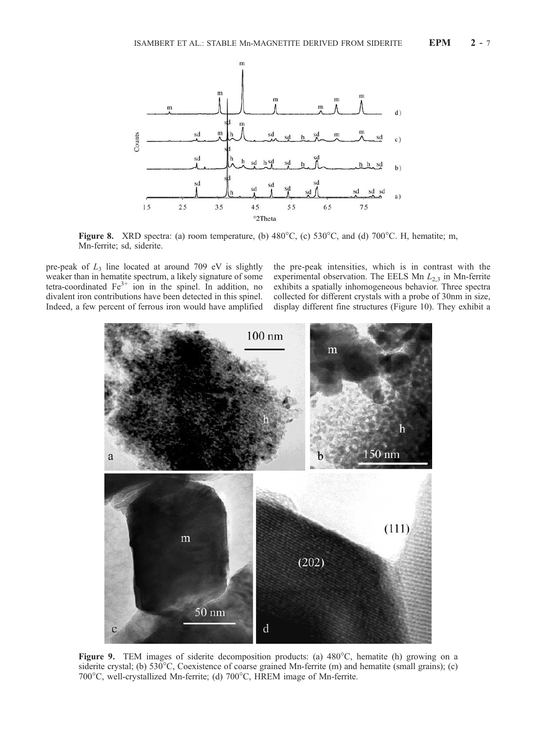

Figure 8. XRD spectra: (a) room temperature, (b)  $480^{\circ}$ C, (c)  $530^{\circ}$ C, and (d)  $700^{\circ}$ C. H, hematite; m, Mn-ferrite; sd, siderite.

pre-peak of  $L_3$  line located at around 709 eV is slightly weaker than in hematite spectrum, a likely signature of some tetra-coordinated  $Fe<sup>3+</sup>$  ion in the spinel. In addition, no divalent iron contributions have been detected in this spinel. Indeed, a few percent of ferrous iron would have amplified the pre-peak intensities, which is in contrast with the experimental observation. The EELS Mn  $L_{2,3}$  in Mn-ferrite exhibits a spatially inhomogeneous behavior. Three spectra collected for different crystals with a probe of 30nm in size, display different fine structures (Figure 10). They exhibit a



Figure 9. TEM images of siderite decomposition products: (a)  $480^{\circ}$ C, hematite (h) growing on a siderite crystal; (b)  $530^{\circ}$ C, Coexistence of coarse grained Mn-ferrite (m) and hematite (small grains); (c) 700°C, well-crystallized Mn-ferrite; (d) 700°C, HREM image of Mn-ferrite.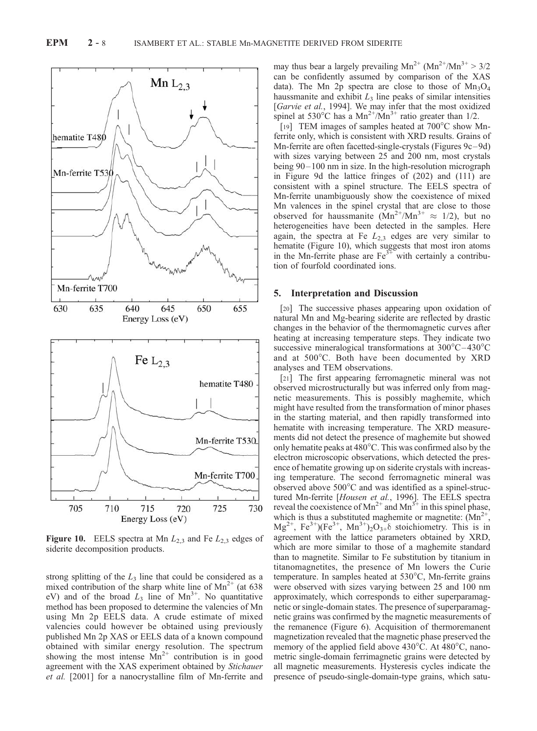

**Figure 10.** EELS spectra at Mn  $L_{2,3}$  and Fe  $L_{2,3}$  edges of siderite decomposition products.

strong splitting of the  $L_3$  line that could be considered as a mixed contribution of the sharp white line of  $Mn^{2+}$  (at 638) eV) and of the broad  $L_3$  line of Mn<sup>3+</sup>. No quantitative method has been proposed to determine the valencies of Mn using Mn 2p EELS data. A crude estimate of mixed valencies could however be obtained using previously published Mn 2p XAS or EELS data of a known compound obtained with similar energy resolution. The spectrum showing the most intense  $Mn^{2+}$  contribution is in good agreement with the XAS experiment obtained by Stichauer et al. [2001] for a nanocrystalline film of Mn-ferrite and

may thus bear a largely prevailing  $Mn^{2+} (Mn^{2+}/Mn^{3+} > 3/2)$ can be confidently assumed by comparison of the XAS data). The Mn 2p spectra are close to those of  $Mn_3O_4$ haussmanite and exhibit  $L_3$  line peaks of similar intensities [Garvie et al., 1994]. We may infer that the most oxidized spinel at  $530^{\circ}$ C has a  $Mn^{2+}/Mn^{3+}$  ratio greater than  $1/2$ .

[19] TEM images of samples heated at  $700^{\circ}$ C show Mnferrite only, which is consistent with XRD results. Grains of Mn-ferrite are often facetted-single-crystals (Figures 9c-9d) with sizes varying between 25 and 200 nm, most crystals being 90– 100 nm in size. In the high-resolution micrograph in Figure 9d the lattice fringes of (202) and (111) are consistent with a spinel structure. The EELS spectra of Mn-ferrite unambiguously show the coexistence of mixed Mn valences in the spinel crystal that are close to those observed for hausemanite  $(Mn^{2+}/Mn^{3+} \approx 1/2)$ , but no heterogeneities have been detected in the samples. Here again, the spectra at Fe  $L_{2,3}$  edges are very similar to hematite (Figure 10), which suggests that most iron atoms in the Mn-ferrite phase are  $Fe<sup>3+</sup>$  with certainly a contribution of fourfold coordinated ions.

#### 5. Interpretation and Discussion

[20] The successive phases appearing upon oxidation of natural Mn and Mg-bearing siderite are reflected by drastic changes in the behavior of the thermomagnetic curves after heating at increasing temperature steps. They indicate two successive mineralogical transformations at  $300^{\circ}$ C $-430^{\circ}$ C and at 500°C. Both have been documented by XRD analyses and TEM observations.

[21] The first appearing ferromagnetic mineral was not observed microstructurally but was inferred only from magnetic measurements. This is possibly maghemite, which might have resulted from the transformation of minor phases in the starting material, and then rapidly transformed into hematite with increasing temperature. The XRD measurements did not detect the presence of maghemite but showed only hematite peaks at  $480^{\circ}$ C. This was confirmed also by the electron microscopic observations, which detected the presence of hematite growing up on siderite crystals with increasing temperature. The second ferromagnetic mineral was observed above  $500^{\circ}$ C and was identified as a spinel-structured Mn-ferrite [Housen et al., 1996]. The EELS spectra reveal the coexistence of Mn<sup>2+</sup> and Mn<sup>3+</sup> in this spinel phase, which is thus a substituted maghemite or magnetite:  $(Mn^{2+})$ ,  $Mg^{2+}$ , Fe<sup>3+</sup>)(Fe<sup>3+</sup>, Mn<sup>3+</sup>)<sub>2</sub>O<sub>3+</sub> $\delta$  stoichiometry. This is in agreement with the lattice parameters obtained by XRD, which are more similar to those of a maghemite standard than to magnetite. Similar to Fe substitution by titanium in titanomagnetites, the presence of Mn lowers the Curie temperature. In samples heated at  $530^{\circ}$ C, Mn-ferrite grains were observed with sizes varying between 25 and 100 nm approximately, which corresponds to either superparamagnetic or single-domain states. The presence of superparamagnetic grains was confirmed by the magnetic measurements of the remanence (Figure 6). Acquisition of thermoremanent magnetization revealed that the magnetic phase preserved the memory of the applied field above 430°C. At 480°C, nanometric single-domain ferrimagnetic grains were detected by all magnetic measurements. Hysteresis cycles indicate the presence of pseudo-single-domain-type grains, which satu